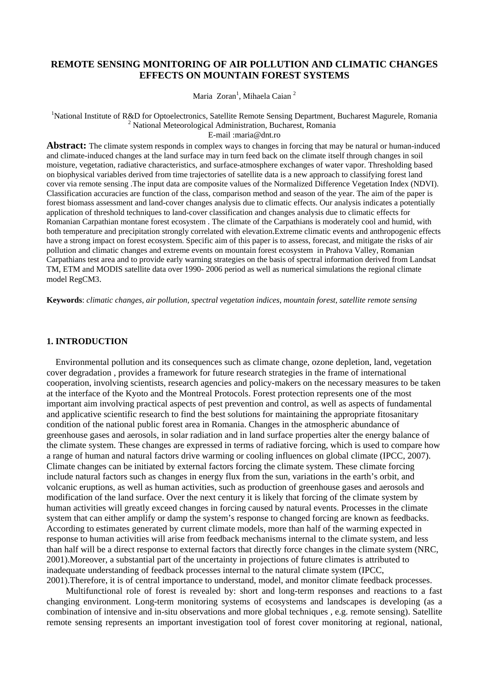# **REMOTE SENSING MONITORING OF AIR POLLUTION AND CLIMATIC CHANGES EFFECTS ON MOUNTAIN FOREST SYSTEMS**

Maria Zoran<sup>1</sup>, Mihaela Caian<sup>2</sup>

### <sup>1</sup>National Institute of R&D for Optoelectronics, Satellite Remote Sensing Department, Bucharest Magurele, Romania <sup>2</sup> National Mateoralogical Administration Bucharest Bomania <sup>2</sup> National Meteorological Administration, Bucharest, Romania E-mail :maria@dnt.ro

Abstract: The climate system responds in complex ways to changes in forcing that may be natural or human-induced and climate-induced changes at the land surface may in turn feed back on the climate itself through changes in soil moisture, vegetation, radiative characteristics, and surface-atmosphere exchanges of water vapor. Thresholding based on biophysical variables derived from time trajectories of satellite data is a new approach to classifying forest land cover via remote sensing .The input data are composite values of the Normalized Difference Vegetation Index (NDVI). Classification accuracies are function of the class, comparison method and season of the year. The aim of the paper is forest biomass assessment and land-cover changes analysis due to climatic effects. Our analysis indicates a potentially application of threshold techniques to land-cover classification and changes analysis due to climatic effects for Romanian Carpathian montane forest ecosystem . The climate of the Carpathians is moderately cool and humid, with both temperature and precipitation strongly correlated with elevation.Extreme climatic events and anthropogenic effects have a strong impact on forest ecosystem. Specific aim of this paper is to assess, forecast, and mitigate the risks of air pollution and climatic changes and extreme events on mountain forest ecosystem in Prahova Valley, Romanian Carpathians test area and to provide early warning strategies on the basis of spectral information derived from Landsat TM, ETM and MODIS satellite data over 1990- 2006 period as well as numerical simulations the regional climate model RegCM3.

**Keywords**: *climatic changes, air pollution, spectral vegetation indices, mountain forest, satellite remote sensing* 

## **1. INTRODUCTION**

 Environmental pollution and its consequences such as climate change, ozone depletion, land, vegetation cover degradation , provides a framework for future research strategies in the frame of international cooperation, involving scientists, research agencies and policy-makers on the necessary measures to be taken at the interface of the Kyoto and the Montreal Protocols. Forest protection represents one of the most important aim involving practical aspects of pest prevention and control, as well as aspects of fundamental and applicative scientific research to find the best solutions for maintaining the appropriate fitosanitary condition of the national public forest area in Romania. Changes in the atmospheric abundance of greenhouse gases and aerosols, in solar radiation and in land surface properties alter the energy balance of the climate system. These changes are expressed in terms of radiative forcing, which is used to compare how a range of human and natural factors drive warming or cooling influences on global climate (IPCC, 2007). Climate changes can be initiated by external factors forcing the climate system. These climate forcing include natural factors such as changes in energy flux from the sun, variations in the earth's orbit, and volcanic eruptions, as well as human activities, such as production of greenhouse gases and aerosols and modification of the land surface. Over the next century it is likely that forcing of the climate system by human activities will greatly exceed changes in forcing caused by natural events. Processes in the climate system that can either amplify or damp the system's response to changed forcing are known as feedbacks. According to estimates generated by current climate models, more than half of the warming expected in response to human activities will arise from feedback mechanisms internal to the climate system, and less than half will be a direct response to external factors that directly force changes in the climate system (NRC, 2001).Moreover, a substantial part of the uncertainty in projections of future climates is attributed to inadequate understanding of feedback processes internal to the natural climate system (IPCC, 2001).Therefore, it is of central importance to understand, model, and monitor climate feedback processes.

Multifunctional role of forest is revealed by: short and long-term responses and reactions to a fast changing environment. Long-term monitoring systems of ecosystems and landscapes is developing (as a combination of intensive and in-situ observations and more global techniques , e.g. remote sensing). Satellite remote sensing represents an important investigation tool of forest cover monitoring at regional, national,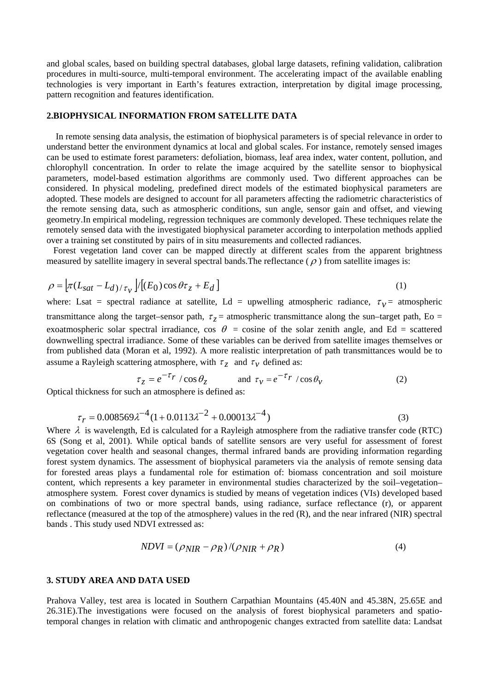and global scales, based on building spectral databases, global large datasets, refining validation, calibration procedures in multi-source, multi-temporal environment. The accelerating impact of the available enabling technologies is very important in Earth's features extraction, interpretation by digital image processing, pattern recognition and features identification.

# **2.BIOPHYSICAL INFORMATION FROM SATELLITE DATA**

 In remote sensing data analysis, the estimation of biophysical parameters is of special relevance in order to understand better the environment dynamics at local and global scales. For instance, remotely sensed images can be used to estimate forest parameters: defoliation, biomass, leaf area index, water content, pollution, and chlorophyll concentration. In order to relate the image acquired by the satellite sensor to biophysical parameters, model-based estimation algorithms are commonly used. Two different approaches can be considered. In physical modeling, predefined direct models of the estimated biophysical parameters are adopted. These models are designed to account for all parameters affecting the radiometric characteristics of the remote sensing data, such as atmospheric conditions, sun angle, sensor gain and offset, and viewing geometry.In empirical modeling, regression techniques are commonly developed. These techniques relate the remotely sensed data with the investigated biophysical parameter according to interpolation methods applied over a training set constituted by pairs of in situ measurements and collected radiances.

Forest vegetation land cover can be mapped directly at different scales from the apparent brightness measured by satellite imagery in several spectral bands. The reflectance  $(\rho)$  from satellite images is:

$$
\rho = \left[ \pi (L_{sat} - L_d) / \tau_v \right] / \left[ (E_0) \cos \theta \tau_z + E_d \right] \tag{1}
$$

where: Lsat = spectral radiance at satellite, Ld = upwelling atmospheric radiance,  $\tau_v$  = atmospheric transmittance along the target–sensor path,  $\tau_z$  = atmospheric transmittance along the sun–target path, Eo = exoatmospheric solar spectral irradiance, cos  $\theta$  = cosine of the solar zenith angle, and Ed = scattered downwelling spectral irradiance. Some of these variables can be derived from satellite images themselves or from published data (Moran et al, 1992). A more realistic interpretation of path transmittances would be to assume a Rayleigh scattering atmosphere, with  $\tau_z$  and  $\tau_y$  defined as:

$$
\tau_z = e^{-\tau_r} / \cos \theta_z \qquad \text{and } \tau_v = e^{-\tau_r} / \cos \theta_v \tag{2}
$$

Optical thickness for such an atmosphere is defined as:

$$
\tau_r = 0.008569\lambda^{-4} (1 + 0.0113\lambda^{-2} + 0.00013\lambda^{-4})
$$
\n(3)

Where  $\lambda$  is wavelength, Ed is calculated for a Rayleigh atmosphere from the radiative transfer code (RTC) 6S (Song et al, 2001). While optical bands of satellite sensors are very useful for assessment of forest vegetation cover health and seasonal changes, thermal infrared bands are providing information regarding forest system dynamics. The assessment of biophysical parameters via the analysis of remote sensing data for forested areas plays a fundamental role for estimation of: biomass concentration and soil moisture content, which represents a key parameter in environmental studies characterized by the soil–vegetation– atmosphere system. Forest cover dynamics is studied by means of vegetation indices (VIs) developed based on combinations of two or more spectral bands, using radiance, surface reflectance (r), or apparent reflectance (measured at the top of the atmosphere) values in the red (R), and the near infrared (NIR) spectral bands . This study used NDVI extressed as:

$$
NDVI = (\rho_{NIR} - \rho_R) / (\rho_{NIR} + \rho_R)
$$
\n(4)

## **3. STUDY AREA AND DATA USED**

Prahova Valley, test area is located in Southern Carpathian Mountains (45.40N and 45.38N, 25.65E and 26.31E).The investigations were focused on the analysis of forest biophysical parameters and spatiotemporal changes in relation with climatic and anthropogenic changes extracted from satellite data: Landsat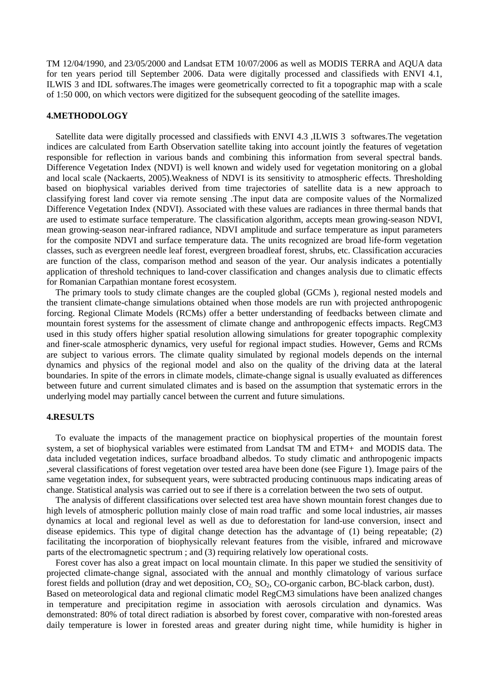TM 12/04/1990, and 23/05/2000 and Landsat ETM 10/07/2006 as well as MODIS TERRA and AQUA data for ten years period till September 2006. Data were digitally processed and classifieds with ENVI 4.1, ILWIS 3 and IDL softwares.The images were geometrically corrected to fit a topographic map with a scale of 1:50 000, on which vectors were digitized for the subsequent geocoding of the satellite images.

# **4.METHODOLOGY**

 Satellite data were digitally processed and classifieds with ENVI 4.3 ,ILWIS 3 softwares.The vegetation indices are calculated from Earth Observation satellite taking into account jointly the features of vegetation responsible for reflection in various bands and combining this information from several spectral bands. Difference Vegetation Index (NDVI) is well known and widely used for vegetation monitoring on a global and local scale (Nackaerts, 2005).Weakness of NDVI is its sensitivity to atmospheric effects. Thresholding based on biophysical variables derived from time trajectories of satellite data is a new approach to classifying forest land cover via remote sensing .The input data are composite values of the Normalized Difference Vegetation Index (NDVI). Associated with these values are radiances in three thermal bands that are used to estimate surface temperature. The classification algorithm, accepts mean growing-season NDVI, mean growing-season near-infrared radiance, NDVI amplitude and surface temperature as input parameters for the composite NDVI and surface temperature data. The units recognized are broad life-form vegetation classes, such as evergreen needle leaf forest, evergreen broadleaf forest, shrubs, etc. Classification accuracies are function of the class, comparison method and season of the year. Our analysis indicates a potentially application of threshold techniques to land-cover classification and changes analysis due to climatic effects for Romanian Carpathian montane forest ecosystem.

 The primary tools to study climate changes are the coupled global (GCMs ), regional nested models and the transient climate-change simulations obtained when those models are run with projected anthropogenic forcing. Regional Climate Models (RCMs) offer a better understanding of feedbacks between climate and mountain forest systems for the assessment of climate change and anthropogenic effects impacts. RegCM3 used in this study offers higher spatial resolution allowing simulations for greater topographic complexity and finer-scale atmospheric dynamics, very useful for regional impact studies. However, Gems and RCMs are subject to various errors. The climate quality simulated by regional models depends on the internal dynamics and physics of the regional model and also on the quality of the driving data at the lateral boundaries. In spite of the errors in climate models, climate-change signal is usually evaluated as differences between future and current simulated climates and is based on the assumption that systematic errors in the underlying model may partially cancel between the current and future simulations.

# **4.RESULTS**

 To evaluate the impacts of the management practice on biophysical properties of the mountain forest system, a set of biophysical variables were estimated from Landsat TM and ETM+ and MODIS data. The data included vegetation indices, surface broadband albedos. To study climatic and anthropogenic impacts ,several classifications of forest vegetation over tested area have been done (see Figure 1). Image pairs of the same vegetation index, for subsequent years, were subtracted producing continuous maps indicating areas of change. Statistical analysis was carried out to see if there is a correlation between the two sets of output.

 The analysis of different classifications over selected test area have shown mountain forest changes due to high levels of atmospheric pollution mainly close of main road traffic and some local industries, air masses dynamics at local and regional level as well as due to deforestation for land-use conversion, insect and disease epidemics. This type of digital change detection has the advantage of (1) being repeatable; (2) facilitating the incorporation of biophysically relevant features from the visible, infrared and microwave parts of the electromagnetic spectrum ; and (3) requiring relatively low operational costs.

 Forest cover has also a great impact on local mountain climate. In this paper we studied the sensitivity of projected climate-change signal, associated with the annual and monthly climatology of various surface forest fields and pollution (dray and wet deposition,  $CO_2$ ,  $SO_2$ ,  $CO$ -organic carbon, BC-black carbon, dust).

Based on meteorological data and regional climatic model RegCM3 simulations have been analized changes in temperature and precipitation regime in association with aerosols circulation and dynamics. Was demonstrated: 80% of total direct radiation is absorbed by forest cover, comparative with non-forested areas daily temperature is lower in forested areas and greater during night time, while humidity is higher in